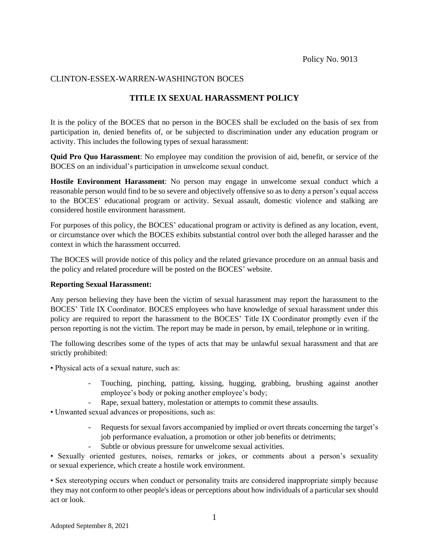### CLINTON-ESSEX-WARREN-WASHINGTON BOCES

## **TITLE IX SEXUAL HARASSMENT POLICY**

It is the policy of the BOCES that no person in the BOCES shall be excluded on the basis of sex from participation in, denied benefits of, or be subjected to discrimination under any education program or activity. This includes the following types of sexual harassment:

**Quid Pro Quo Harassment**: No employee may condition the provision of aid, benefit, or service of the BOCES on an individual's participation in unwelcome sexual conduct.

**Hostile Environment Harassment**: No person may engage in unwelcome sexual conduct which a reasonable person would find to be so severe and objectively offensive so as to deny a person's equal access to the BOCES' educational program or activity. Sexual assault, domestic violence and stalking are considered hostile environment harassment.

For purposes of this policy, the BOCES' educational program or activity is defined as any location, event, or circumstance over which the BOCES exhibits substantial control over both the alleged harasser and the context in which the harassment occurred.

The BOCES will provide notice of this policy and the related grievance procedure on an annual basis and the policy and related procedure will be posted on the BOCES' website.

#### **Reporting Sexual Harassment:**

Any person believing they have been the victim of sexual harassment may report the harassment to the BOCES' Title IX Coordinator. BOCES employees who have knowledge of sexual harassment under this policy are required to report the harassment to the BOCES' Title IX Coordinator promptly even if the person reporting is not the victim. The report may be made in person, by email, telephone or in writing.

The following describes some of the types of acts that may be unlawful sexual harassment and that are strictly prohibited:

- Physical acts of a sexual nature, such as:
	- Touching, pinching, patting, kissing, hugging, grabbing, brushing against another employee's body or poking another employee's body;
	- Rape, sexual battery, molestation or attempts to commit these assaults.
- Unwanted sexual advances or propositions, such as:
	- Requests for sexual favors accompanied by implied or overt threats concerning the target's job performance evaluation, a promotion or other job benefits or detriments;
	- Subtle or obvious pressure for unwelcome sexual activities.

• Sexually oriented gestures, noises, remarks or jokes, or comments about a person's sexuality or sexual experience, which create a hostile work environment.

• Sex stereotyping occurs when conduct or personality traits are considered inappropriate simply because they may not conform to other people's ideas or perceptions about how individuals of a particular sex should act or look.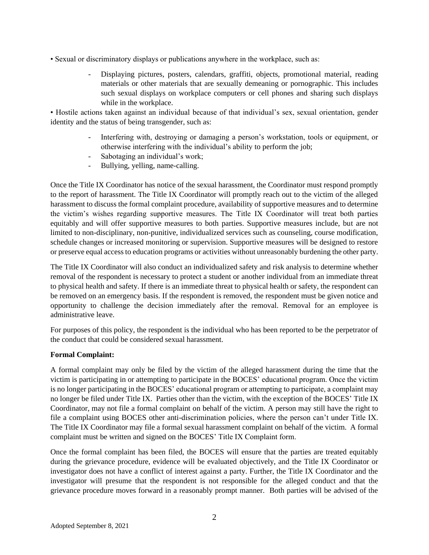- Sexual or discriminatory displays or publications anywhere in the workplace, such as:
	- Displaying pictures, posters, calendars, graffiti, objects, promotional material, reading materials or other materials that are sexually demeaning or pornographic. This includes such sexual displays on workplace computers or cell phones and sharing such displays while in the workplace.

• Hostile actions taken against an individual because of that individual's sex, sexual orientation, gender identity and the status of being transgender, such as:

- Interfering with, destroying or damaging a person's workstation, tools or equipment, or otherwise interfering with the individual's ability to perform the job;
- Sabotaging an individual's work;
- Bullying, yelling, name-calling.

Once the Title IX Coordinator has notice of the sexual harassment, the Coordinator must respond promptly to the report of harassment. The Title IX Coordinator will promptly reach out to the victim of the alleged harassment to discuss the formal complaint procedure, availability of supportive measures and to determine the victim's wishes regarding supportive measures. The Title IX Coordinator will treat both parties equitably and will offer supportive measures to both parties. Supportive measures include, but are not limited to non-disciplinary, non-punitive, individualized services such as counseling, course modification, schedule changes or increased monitoring or supervision. Supportive measures will be designed to restore or preserve equal access to education programs or activities without unreasonably burdening the other party.

The Title IX Coordinator will also conduct an individualized safety and risk analysis to determine whether removal of the respondent is necessary to protect a student or another individual from an immediate threat to physical health and safety. If there is an immediate threat to physical health or safety, the respondent can be removed on an emergency basis. If the respondent is removed, the respondent must be given notice and opportunity to challenge the decision immediately after the removal. Removal for an employee is administrative leave.

For purposes of this policy, the respondent is the individual who has been reported to be the perpetrator of the conduct that could be considered sexual harassment.

#### **Formal Complaint:**

A formal complaint may only be filed by the victim of the alleged harassment during the time that the victim is participating in or attempting to participate in the BOCES' educational program. Once the victim is no longer participating in the BOCES' educational program or attempting to participate, a complaint may no longer be filed under Title IX. Parties other than the victim, with the exception of the BOCES' Title IX Coordinator, may not file a formal complaint on behalf of the victim. A person may still have the right to file a complaint using BOCES other anti-discrimination policies, where the person can't under Title IX. The Title IX Coordinator may file a formal sexual harassment complaint on behalf of the victim. A formal complaint must be written and signed on the BOCES' Title IX Complaint form.

Once the formal complaint has been filed, the BOCES will ensure that the parties are treated equitably during the grievance procedure, evidence will be evaluated objectively, and the Title IX Coordinator or investigator does not have a conflict of interest against a party. Further, the Title IX Coordinator and the investigator will presume that the respondent is not responsible for the alleged conduct and that the grievance procedure moves forward in a reasonably prompt manner. Both parties will be advised of the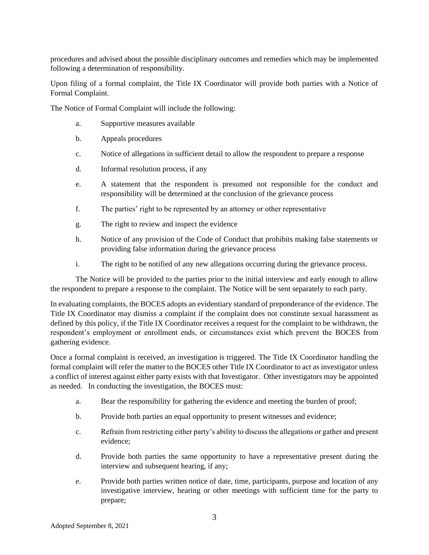procedures and advised about the possible disciplinary outcomes and remedies which may be implemented following a determination of responsibility.

Upon filing of a formal complaint, the Title IX Coordinator will provide both parties with a Notice of Formal Complaint.

The Notice of Formal Complaint will include the following:

- a. Supportive measures available
- b. Appeals procedures
- c. Notice of allegations in sufficient detail to allow the respondent to prepare a response
- d. Informal resolution process, if any
- e. A statement that the respondent is presumed not responsible for the conduct and responsibility will be determined at the conclusion of the grievance process
- f. The parties' right to be represented by an attorney or other representative
- g. The right to review and inspect the evidence
- h. Notice of any provision of the Code of Conduct that prohibits making false statements or providing false information during the grievance process
- i. The right to be notified of any new allegations occurring during the grievance process.

The Notice will be provided to the parties prior to the initial interview and early enough to allow the respondent to prepare a response to the complaint. The Notice will be sent separately to each party.

In evaluating complaints, the BOCES adopts an evidentiary standard of preponderance of the evidence. The Title IX Coordinator may dismiss a complaint if the complaint does not constitute sexual harassment as defined by this policy, if the Title IX Coordinator receives a request for the complaint to be withdrawn, the respondent's employment or enrollment ends, or circumstances exist which prevent the BOCES from gathering evidence.

Once a formal complaint is received, an investigation is triggered. The Title IX Coordinator handling the formal complaint will refer the matter to the BOCES other Title IX Coordinator to act as investigator unless a conflict of interest against either party exists with that Investigator. Other investigators may be appointed as needed. In conducting the investigation, the BOCES must:

- a. Bear the responsibility for gathering the evidence and meeting the burden of proof;
- b. Provide both parties an equal opportunity to present witnesses and evidence;
- c. Refrain from restricting either party's ability to discuss the allegations or gather and present evidence;
- d. Provide both parties the same opportunity to have a representative present during the interview and subsequent hearing, if any;
- e. Provide both parties written notice of date, time, participants, purpose and location of any investigative interview, hearing or other meetings with sufficient time for the party to prepare;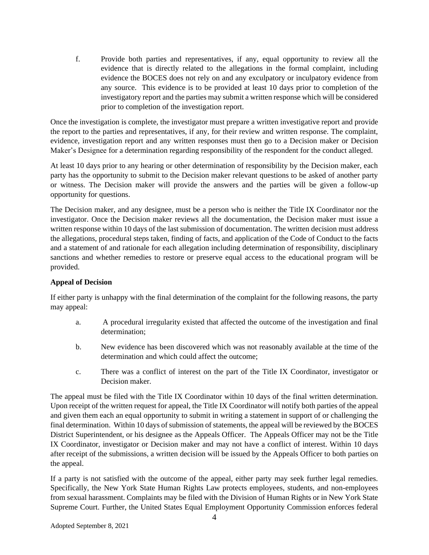f. Provide both parties and representatives, if any, equal opportunity to review all the evidence that is directly related to the allegations in the formal complaint, including evidence the BOCES does not rely on and any exculpatory or inculpatory evidence from any source. This evidence is to be provided at least 10 days prior to completion of the investigatory report and the parties may submit a written response which will be considered prior to completion of the investigation report.

Once the investigation is complete, the investigator must prepare a written investigative report and provide the report to the parties and representatives, if any, for their review and written response. The complaint, evidence, investigation report and any written responses must then go to a Decision maker or Decision Maker's Designee for a determination regarding responsibility of the respondent for the conduct alleged.

At least 10 days prior to any hearing or other determination of responsibility by the Decision maker, each party has the opportunity to submit to the Decision maker relevant questions to be asked of another party or witness. The Decision maker will provide the answers and the parties will be given a follow-up opportunity for questions.

The Decision maker, and any designee, must be a person who is neither the Title IX Coordinator nor the investigator. Once the Decision maker reviews all the documentation, the Decision maker must issue a written response within 10 days of the last submission of documentation. The written decision must address the allegations, procedural steps taken, finding of facts, and application of the Code of Conduct to the facts and a statement of and rationale for each allegation including determination of responsibility, disciplinary sanctions and whether remedies to restore or preserve equal access to the educational program will be provided.

#### **Appeal of Decision**

If either party is unhappy with the final determination of the complaint for the following reasons, the party may appeal:

- a. A procedural irregularity existed that affected the outcome of the investigation and final determination;
- b. New evidence has been discovered which was not reasonably available at the time of the determination and which could affect the outcome;
- c. There was a conflict of interest on the part of the Title IX Coordinator, investigator or Decision maker.

The appeal must be filed with the Title IX Coordinator within 10 days of the final written determination. Upon receipt of the written request for appeal, the Title IX Coordinator will notify both parties of the appeal and given them each an equal opportunity to submit in writing a statement in support of or challenging the final determination. Within 10 days of submission of statements, the appeal will be reviewed by the BOCES District Superintendent, or his designee as the Appeals Officer. The Appeals Officer may not be the Title IX Coordinator, investigator or Decision maker and may not have a conflict of interest. Within 10 days after receipt of the submissions, a written decision will be issued by the Appeals Officer to both parties on the appeal.

If a party is not satisfied with the outcome of the appeal, either party may seek further legal remedies. Specifically, the New York State Human Rights Law protects employees, students, and non-employees from sexual harassment. Complaints may be filed with the Division of Human Rights or in New York State Supreme Court. Further, the United States Equal Employment Opportunity Commission enforces federal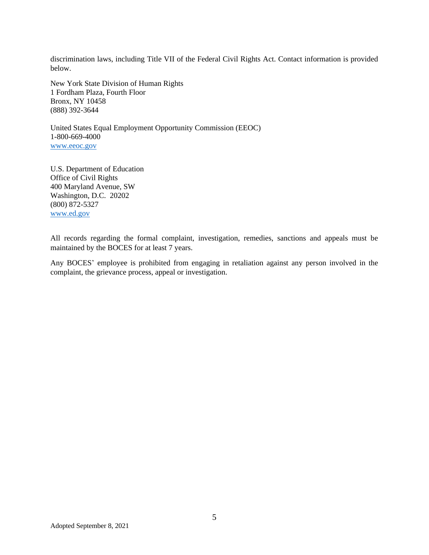discrimination laws, including Title VII of the Federal Civil Rights Act. Contact information is provided below.

New York State Division of Human Rights 1 Fordham Plaza, Fourth Floor Bronx, NY 10458 (888) 392-3644

United States Equal Employment Opportunity Commission (EEOC) 1-800-669-4000 [www.eeoc.gov](http://www.eeoc.gov/)

U.S. Department of Education Office of Civil Rights 400 Maryland Avenue, SW Washington, D.C. 20202 (800) 872-5327 [www.ed.gov](http://www.ed.gov/)

All records regarding the formal complaint, investigation, remedies, sanctions and appeals must be maintained by the BOCES for at least 7 years.

Any BOCES' employee is prohibited from engaging in retaliation against any person involved in the complaint, the grievance process, appeal or investigation.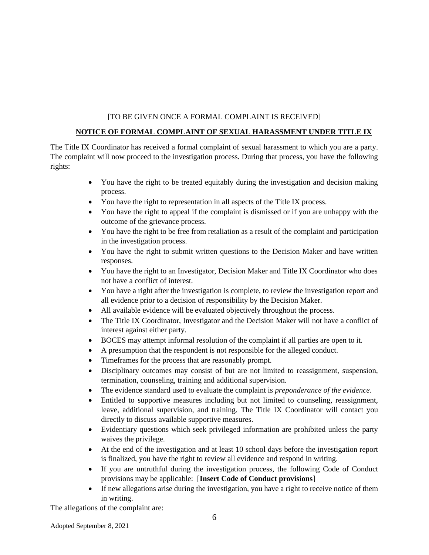#### [TO BE GIVEN ONCE A FORMAL COMPLAINT IS RECEIVED]

#### **NOTICE OF FORMAL COMPLAINT OF SEXUAL HARASSMENT UNDER TITLE IX**

The Title IX Coordinator has received a formal complaint of sexual harassment to which you are a party. The complaint will now proceed to the investigation process. During that process, you have the following rights:

- You have the right to be treated equitably during the investigation and decision making process.
- You have the right to representation in all aspects of the Title IX process.
- You have the right to appeal if the complaint is dismissed or if you are unhappy with the outcome of the grievance process.
- You have the right to be free from retaliation as a result of the complaint and participation in the investigation process.
- You have the right to submit written questions to the Decision Maker and have written responses.
- You have the right to an Investigator, Decision Maker and Title IX Coordinator who does not have a conflict of interest.
- You have a right after the investigation is complete, to review the investigation report and all evidence prior to a decision of responsibility by the Decision Maker.
- All available evidence will be evaluated objectively throughout the process.
- The Title IX Coordinator, Investigator and the Decision Maker will not have a conflict of interest against either party.
- BOCES may attempt informal resolution of the complaint if all parties are open to it.
- A presumption that the respondent is not responsible for the alleged conduct.
- Timeframes for the process that are reasonably prompt.
- Disciplinary outcomes may consist of but are not limited to reassignment, suspension, termination, counseling, training and additional supervision.
- The evidence standard used to evaluate the complaint is *preponderance of the evidence*.
- Entitled to supportive measures including but not limited to counseling, reassignment, leave, additional supervision, and training. The Title IX Coordinator will contact you directly to discuss available supportive measures.
- Evidentiary questions which seek privileged information are prohibited unless the party waives the privilege.
- At the end of the investigation and at least 10 school days before the investigation report is finalized, you have the right to review all evidence and respond in writing.
- If you are untruthful during the investigation process, the following Code of Conduct provisions may be applicable: [**Insert Code of Conduct provisions**]
- If new allegations arise during the investigation, you have a right to receive notice of them in writing.

The allegations of the complaint are: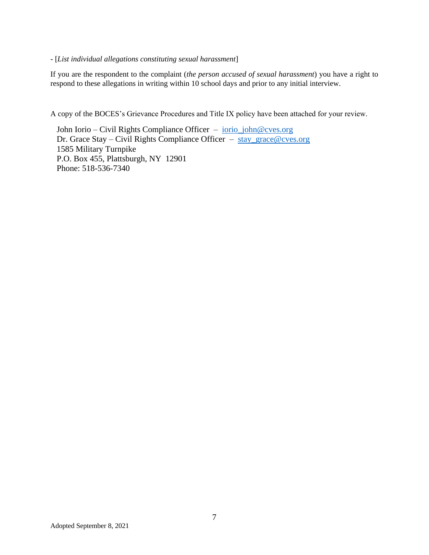#### - [*List individual allegations constituting sexual harassment*]

If you are the respondent to the complaint (*the person accused of sexual harassment*) you have a right to respond to these allegations in writing within 10 school days and prior to any initial interview.

A copy of the BOCES's Grievance Procedures and Title IX policy have been attached for your review.

John Iorio – Civil Rights Compliance Officer – [iorio\\_john@cves.org](mailto:iorio_john@cves.org) Dr. Grace Stay – Civil Rights Compliance Officer – [stay\\_grace@cves.org](mailto:stay_grace@cves.org) 1585 Military Turnpike P.O. Box 455, Plattsburgh, NY 12901 Phone: 518-536-7340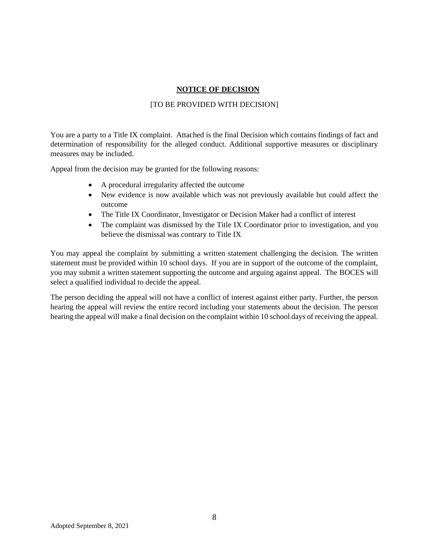#### **NOTICE OF DECISION**

#### [TO BE PROVIDED WITH DECISION]

You are a party to a Title IX complaint. Attached is the final Decision which contains findings of fact and determination of responsibility for the alleged conduct. Additional supportive measures or disciplinary measures may be included.

Appeal from the decision may be granted for the following reasons:

- A procedural irregularity affected the outcome
- New evidence is now available which was not previously available but could affect the outcome
- The Title IX Coordinator, Investigator or Decision Maker had a conflict of interest
- The complaint was dismissed by the Title IX Coordinator prior to investigation, and you believe the dismissal was contrary to Title IX

You may appeal the complaint by submitting a written statement challenging the decision. The written statement must be provided within 10 school days. If you are in support of the outcome of the complaint, you may submit a written statement supporting the outcome and arguing against appeal. The BOCES will select a qualified individual to decide the appeal.

The person deciding the appeal will not have a conflict of interest against either party. Further, the person hearing the appeal will review the entire record including your statements about the decision. The person hearing the appeal will make a final decision on the complaint within 10 school days of receiving the appeal.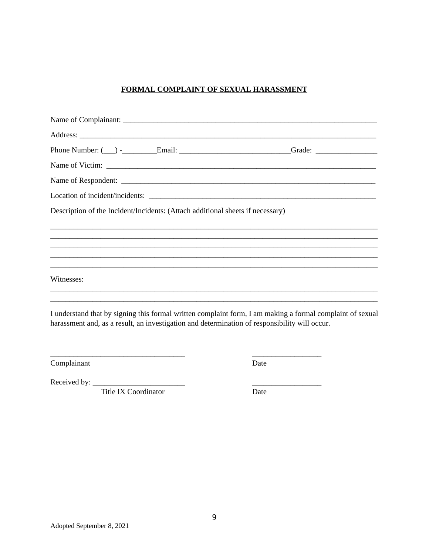## FORMAL COMPLAINT OF SEXUAL HARASSMENT

| Description of the Incident/Incidents: (Attach additional sheets if necessary) |  |
|--------------------------------------------------------------------------------|--|
|                                                                                |  |
|                                                                                |  |
|                                                                                |  |
| Witnesses:                                                                     |  |
|                                                                                |  |
|                                                                                |  |

I understand that by signing this formal written complaint form, I am making a formal complaint of sexual harassment and, as a result, an investigation and determination of responsibility will occur.

Complainant

Date

Received by:

Title IX Coordinator

Date